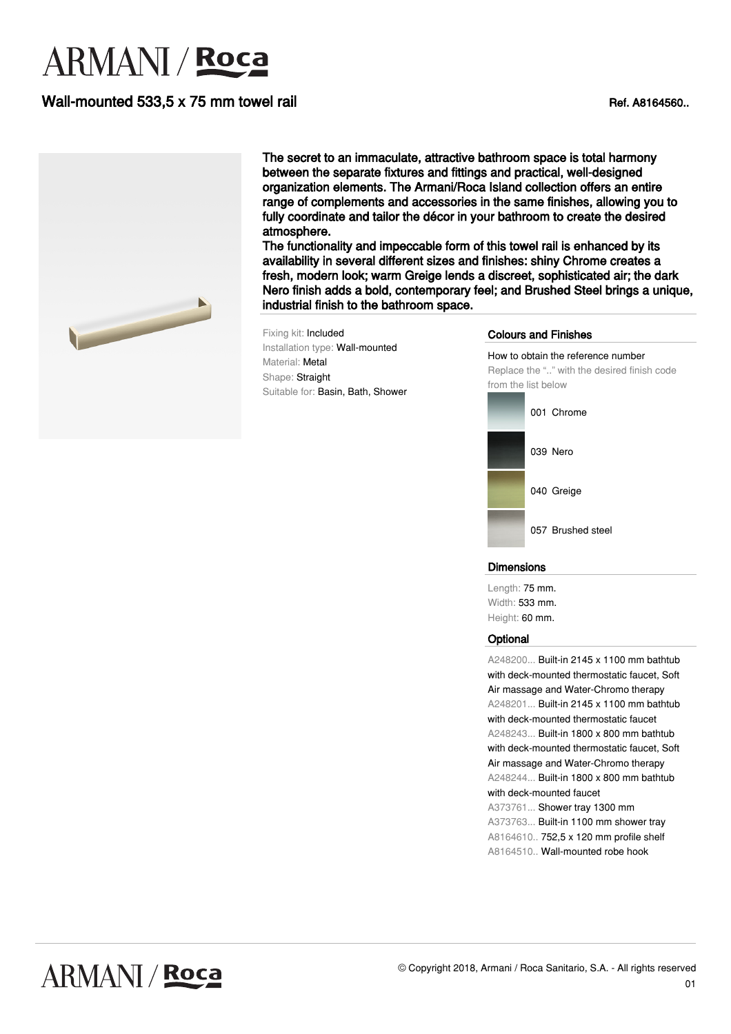# **ARMANI** / Roca

## Wall-mounted 533,5 x 75 mm towel rail Ref. A8164560..



The secret to an immaculate, attractive bathroom space is total harmony between the separate fixtures and fittings and practical, well-designed organization elements. The Armani/Roca Island collection offers an entire range of complements and accessories in the same finishes, allowing you to fully coordinate and tailor the décor in your bathroom to create the desired atmosphere.

The functionality and impeccable form of this towel rail is enhanced by its availability in several different sizes and finishes: shiny Chrome creates a fresh, modern look; warm Greige lends a discreet, sophisticated air; the dark Nero finish adds a bold, contemporary feel; and Brushed Steel brings a unique, industrial finish to the bathroom space.

Fixing kit: Included Installation type: Wall-mounted Material: Metal Shape: Straight Suitable for: Basin, Bath, Shower

#### Colours and Finishes

How to obtain the reference number Replace the ".." with the desired finish code from the list below 001 Chrome 039 Nero



057 Brushed steel

#### Dimensions

Length: 75 mm. Width: 533 mm. Height: 60 mm.

#### **Optional**

A248200... Built-in 2145 x 1100 mm bathtub with deck-mounted thermostatic faucet, Soft Air massage and Water-Chromo therapy A248201... Built-in 2145 x 1100 mm bathtub with deck-mounted thermostatic faucet A248243... Built-in 1800 x 800 mm bathtub with deck-mounted thermostatic faucet, Soft Air massage and Water-Chromo therapy A248244... Built-in 1800 x 800 mm bathtub with deck-mounted faucet A373761... Shower tray 1300 mm A373763... Built-in 1100 mm shower tray A8164610.. 752,5 x 120 mm profile shelf A8164510.. Wall-mounted robe hook

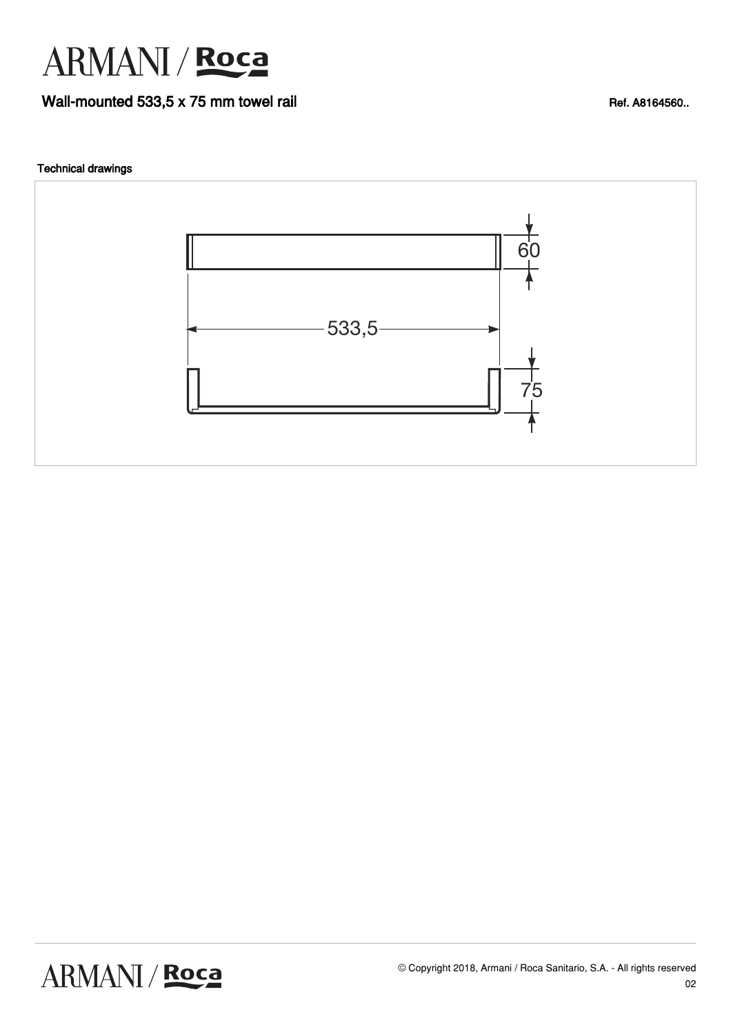

### Wall-mounted 533,5 x 75 mm towel rail Ref. A8164560..

#### Technical drawings